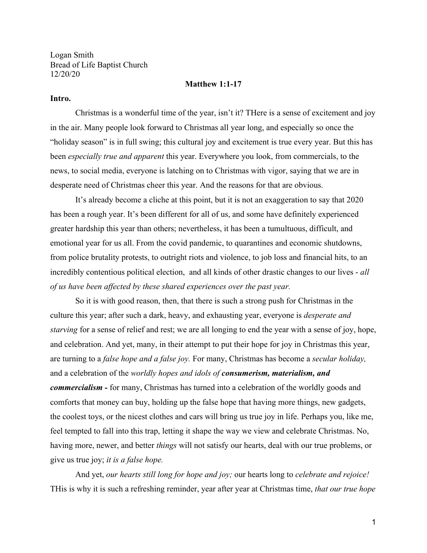Logan Smith Bread of Life Baptist Church 12/20/20

### **Matthew 1:1-17**

## **Intro.**

Christmas is a wonderful time of the year, isn't it? THere is a sense of excitement and joy in the air. Many people look forward to Christmas all year long, and especially so once the "holiday season" is in full swing; this cultural joy and excitement is true every year. But this has been *especially true and apparent* this year. Everywhere you look, from commercials, to the news, to social media, everyone is latching on to Christmas with vigor, saying that we are in desperate need of Christmas cheer this year. And the reasons for that are obvious.

It's already become a cliche at this point, but it is not an exaggeration to say that 2020 has been a rough year. It's been different for all of us, and some have definitely experienced greater hardship this year than others; nevertheless, it has been a tumultuous, difficult, and emotional year for us all. From the covid pandemic, to quarantines and economic shutdowns, from police brutality protests, to outright riots and violence, to job loss and financial hits, to an incredibly contentious political election, and all kinds of other drastic changes to our lives - *all of us have been affected by these shared experiences over the past year.*

So it is with good reason, then, that there is such a strong push for Christmas in the culture this year; after such a dark, heavy, and exhausting year, everyone is *desperate and starving* for a sense of relief and rest; we are all longing to end the year with a sense of joy, hope, and celebration. And yet, many, in their attempt to put their hope for joy in Christmas this year, are turning to a *false hope and a false joy.* For many, Christmas has become a *secular holiday,* and a celebration of the *worldly hopes and idols of consumerism, materialism, and commercialism -* for many, Christmas has turned into a celebration of the worldly goods and comforts that money can buy, holding up the false hope that having more things, new gadgets, the coolest toys, or the nicest clothes and cars will bring us true joy in life. Perhaps you, like me, feel tempted to fall into this trap, letting it shape the way we view and celebrate Christmas. No, having more, newer, and better *things* will not satisfy our hearts, deal with our true problems, or give us true joy; *it is a false hope.*

And yet, *our hearts still long for hope and joy;* our hearts long to *celebrate and rejoice!* THis is why it is such a refreshing reminder, year after year at Christmas time, *that our true hope*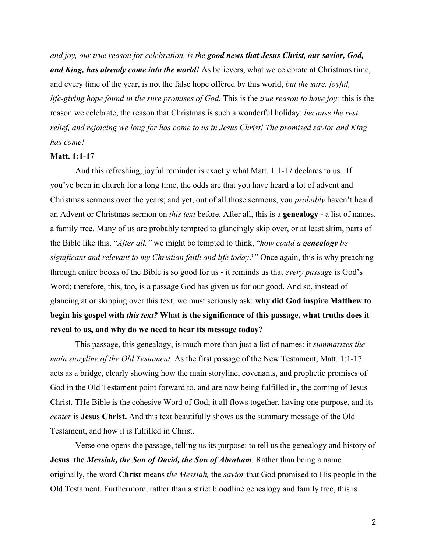*and joy, our true reason for celebration, is the good news that Jesus Christ, our savior, God, and King, has already come into the world!* As believers, what we celebrate at Christmas time, and every time of the year, is not the false hope offered by this world, *but the sure, joyful, life-giving hope found in the sure promises of God.* This is the *true reason to have joy;* this is the reason we celebrate, the reason that Christmas is such a wonderful holiday: *because the rest, relief, and rejoicing we long for has come to us in Jesus Christ! The promised savior and King has come!*

#### **Matt. 1:1-17**

And this refreshing, joyful reminder is exactly what Matt. 1:1-17 declares to us.. If you've been in church for a long time, the odds are that you have heard a lot of advent and Christmas sermons over the years; and yet, out of all those sermons, you *probably* haven't heard an Advent or Christmas sermon on *this text* before. After all, this is a **genealogy -** a list of names, a family tree. Many of us are probably tempted to glancingly skip over, or at least skim, parts of the Bible like this. "*After all,"* we might be tempted to think, "*how could a genealogy be significant and relevant to my Christian faith and life today?"* Once again, this is why preaching through entire books of the Bible is so good for us - it reminds us that *every passage* is God's Word; therefore, this, too, is a passage God has given us for our good. And so, instead of glancing at or skipping over this text, we must seriously ask: **why did God inspire Matthew to begin his gospel with** *this text?* **What is the significance of this passage, what truths does it reveal to us, and why do we need to hear its message today?**

This passage, this genealogy, is much more than just a list of names: it *summarizes the main storyline of the Old Testament.* As the first passage of the New Testament, Matt. 1:1-17 acts as a bridge, clearly showing how the main storyline, covenants, and prophetic promises of God in the Old Testament point forward to, and are now being fulfilled in, the coming of Jesus Christ. THe Bible is the cohesive Word of God; it all flows together, having one purpose, and its *center* is **Jesus Christ.** And this text beautifully shows us the summary message of the Old Testament, and how it is fulfilled in Christ.

Verse one opens the passage, telling us its purpose: to tell us the genealogy and history of **Jesus the** *Messiah, the Son of David, the Son of Abraham.* Rather than being a name originally, the word **Christ** means *the Messiah,* the *savior* that God promised to His people in the Old Testament. Furthermore, rather than a strict bloodline genealogy and family tree, this is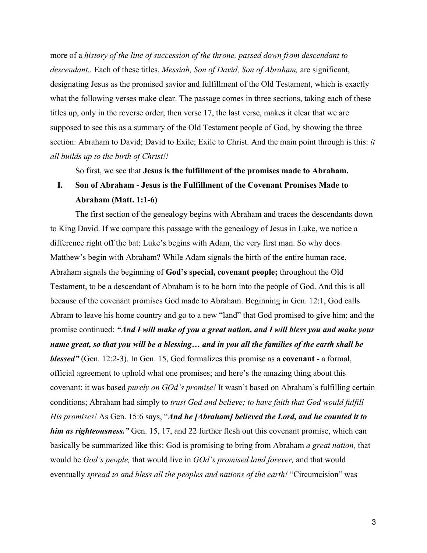more of a *history of the line of succession of the throne, passed down from descendant to descendant..* Each of these titles, *Messiah, Son of David, Son of Abraham,* are significant, designating Jesus as the promised savior and fulfillment of the Old Testament, which is exactly what the following verses make clear. The passage comes in three sections, taking each of these titles up, only in the reverse order; then verse 17, the last verse, makes it clear that we are supposed to see this as a summary of the Old Testament people of God, by showing the three section: Abraham to David; David to Exile; Exile to Christ. And the main point through is this: *it all builds up to the birth of Christ!!*

So first, we see that **Jesus is the fulfillment of the promises made to Abraham.**

# **I. Son of Abraham - Jesus is the Fulfillment of the Covenant Promises Made to Abraham (Matt. 1:1-6)**

The first section of the genealogy begins with Abraham and traces the descendants down to King David. If we compare this passage with the genealogy of Jesus in Luke, we notice a difference right off the bat: Luke's begins with Adam, the very first man. So why does Matthew's begin with Abraham? While Adam signals the birth of the entire human race, Abraham signals the beginning of **God's special, covenant people;** throughout the Old Testament, to be a descendant of Abraham is to be born into the people of God. And this is all because of the covenant promises God made to Abraham. Beginning in Gen. 12:1, God calls Abram to leave his home country and go to a new "land" that God promised to give him; and the promise continued: *"And I will make of you a great nation, and I will bless you and make your name great, so that you will be a blessing… and in you all the families of the earth shall be blessed"* (Gen. 12:2-3). In Gen. 15, God formalizes this promise as a **covenant -** a formal, official agreement to uphold what one promises; and here's the amazing thing about this covenant: it was based *purely on GOd's promise!* It wasn't based on Abraham's fulfilling certain conditions; Abraham had simply to *trust God and believe; to have faith that God would fulfill His promises!* As Gen. 15:6 says, "*And he [Abraham] believed the Lord, and he counted it to him as righteousness."* Gen. 15, 17, and 22 further flesh out this covenant promise, which can basically be summarized like this: God is promising to bring from Abraham *a great nation,* that would be *God's people,* that would live in *GOd's promised land forever,* and that would eventually *spread to and bless all the peoples and nations of the earth!* "Circumcision" was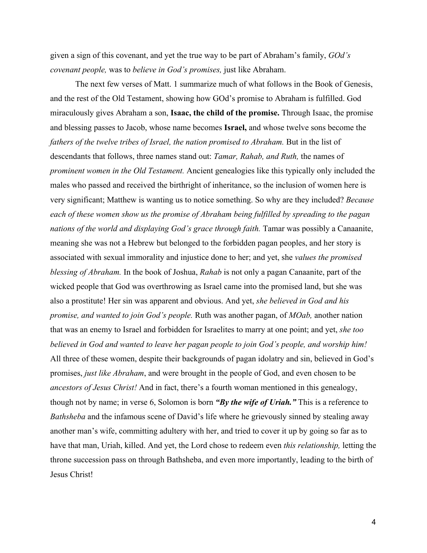given a sign of this covenant, and yet the true way to be part of Abraham's family, *GOd's covenant people,* was to *believe in God's promises,* just like Abraham.

The next few verses of Matt. 1 summarize much of what follows in the Book of Genesis, and the rest of the Old Testament, showing how GOd's promise to Abraham is fulfilled. God miraculously gives Abraham a son, **Isaac, the child of the promise.** Through Isaac, the promise and blessing passes to Jacob, whose name becomes **Israel,** and whose twelve sons become the *fathers of the twelve tribes of Israel, the nation promised to Abraham.* But in the list of descendants that follows, three names stand out: *Tamar, Rahab, and Ruth,* the names of *prominent women in the Old Testament.* Ancient genealogies like this typically only included the males who passed and received the birthright of inheritance, so the inclusion of women here is very significant; Matthew is wanting us to notice something. So why are they included? *Because each of these women show us the promise of Abraham being fulfilled by spreading to the pagan nations of the world and displaying God's grace through faith.* Tamar was possibly a Canaanite, meaning she was not a Hebrew but belonged to the forbidden pagan peoples, and her story is associated with sexual immorality and injustice done to her; and yet, she *values the promised blessing of Abraham.* In the book of Joshua, *Rahab* is not only a pagan Canaanite, part of the wicked people that God was overthrowing as Israel came into the promised land, but she was also a prostitute! Her sin was apparent and obvious. And yet, *she believed in God and his promise, and wanted to join God's people.* Ruth was another pagan, of *MOab,* another nation that was an enemy to Israel and forbidden for Israelites to marry at one point; and yet, *she too believed in God and wanted to leave her pagan people to join God's people, and worship him!* All three of these women, despite their backgrounds of pagan idolatry and sin, believed in God's promises, *just like Abraham*, and were brought in the people of God, and even chosen to be *ancestors of Jesus Christ!* And in fact, there's a fourth woman mentioned in this genealogy, though not by name; in verse 6, Solomon is born *"By the wife of Uriah."* This is a reference to *Bathsheba* and the infamous scene of David's life where he grievously sinned by stealing away another man's wife, committing adultery with her, and tried to cover it up by going so far as to have that man, Uriah, killed. And yet, the Lord chose to redeem even *this relationship,* letting the throne succession pass on through Bathsheba, and even more importantly, leading to the birth of Jesus Christ!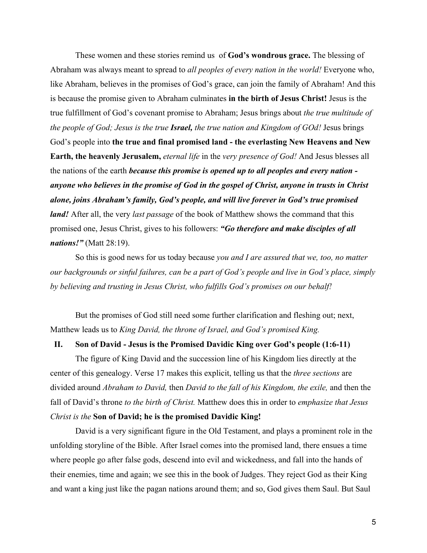These women and these stories remind us of **God's wondrous grace.** The blessing of Abraham was always meant to spread to *all peoples of every nation in the world!* Everyone who, like Abraham, believes in the promises of God's grace, can join the family of Abraham! And this is because the promise given to Abraham culminates **in the birth of Jesus Christ!** Jesus is the true fulfillment of God's covenant promise to Abraham; Jesus brings about *the true multitude of the people of God; Jesus is the true Israel, the true nation and Kingdom of GOd!* Jesus brings God's people into **the true and final promised land - the everlasting New Heavens and New Earth, the heavenly Jerusalem,** *eternal life* in the *very presence of God!* And Jesus blesses all the nations of the earth *because this promise is opened up to all peoples and every nation anyone who believes in the promise of God in the gospel of Christ, anyone in trusts in Christ alone, joins Abraham's family, God's people, and will live forever in God's true promised land!* After all, the very *last passage* of the book of Matthew shows the command that this promised one, Jesus Christ, gives to his followers: *"Go therefore and make disciples of all nations!"* (Matt 28:19).

So this is good news for us today because *you and I are assured that we, too, no matter our backgrounds or sinful failures, can be a part of God's people and live in God's place, simply by believing and trusting in Jesus Christ, who fulfills God's promises on our behalf!*

But the promises of God still need some further clarification and fleshing out; next, Matthew leads us to *King David, the throne of Israel, and God's promised King.*

# **II. Son of David - Jesus is the Promised Davidic King over God's people (1:6-11)**

The figure of King David and the succession line of his Kingdom lies directly at the center of this genealogy. Verse 17 makes this explicit, telling us that the *three sections* are divided around *Abraham to David,* then *David to the fall of his Kingdom, the exile,* and then the fall of David's throne *to the birth of Christ.* Matthew does this in order to *emphasize that Jesus Christ is the* **Son of David; he is the promised Davidic King!**

David is a very significant figure in the Old Testament, and plays a prominent role in the unfolding storyline of the Bible. After Israel comes into the promised land, there ensues a time where people go after false gods, descend into evil and wickedness, and fall into the hands of their enemies, time and again; we see this in the book of Judges. They reject God as their King and want a king just like the pagan nations around them; and so, God gives them Saul. But Saul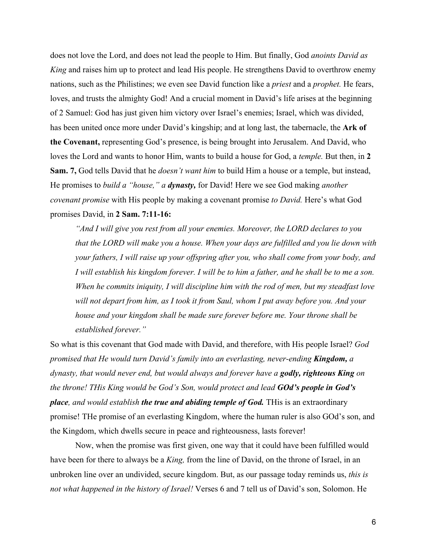does not love the Lord, and does not lead the people to Him. But finally, God *anoints David as King* and raises him up to protect and lead His people. He strengthens David to overthrow enemy nations, such as the Philistines; we even see David function like a *priest* and a *prophet.* He fears, loves, and trusts the almighty God! And a crucial moment in David's life arises at the beginning of 2 Samuel: God has just given him victory over Israel's enemies; Israel, which was divided, has been united once more under David's kingship; and at long last, the tabernacle, the **Ark of the Covenant,** representing God's presence, is being brought into Jerusalem. And David, who loves the Lord and wants to honor Him, wants to build a house for God, a *temple*. But then, in 2 **Sam. 7,** God tells David that he *doesn't want him* to build Him a house or a temple, but instead, He promises to *build a "house," a dynasty,* for David! Here we see God making *another covenant promise* with His people by making a covenant promise *to David.* Here's what God promises David, in **2 Sam. 7:11-16:**

*"And I will give you rest from all your enemies. Moreover, the LORD declares to you that the LORD will make you a house. When your days are fulfilled and you lie down with your fathers, I will raise up your offspring after you, who shall come from your body, and I will establish his kingdom forever. I will be to him a father, and he shall be to me a son. When he commits iniquity, I will discipline him with the rod of men, but my steadfast love will not depart from him, as I took it from Saul, whom I put away before you. And your house and your kingdom shall be made sure forever before me. Your throne shall be established forever."*

So what is this covenant that God made with David, and therefore, with His people Israel? *God promised that He would turn David's family into an everlasting, never-ending Kingdom, a dynasty, that would never end, but would always and forever have a godly, righteous King on the throne! THis King would be God's Son, would protect and lead GOd's people in God's place, and would establish the true and abiding temple of God.* THis is an extraordinary promise! THe promise of an everlasting Kingdom, where the human ruler is also GOd's son, and the Kingdom, which dwells secure in peace and righteousness, lasts forever!

Now, when the promise was first given, one way that it could have been fulfilled would have been for there to always be a *King,* from the line of David, on the throne of Israel, in an unbroken line over an undivided, secure kingdom. But, as our passage today reminds us, *this is not what happened in the history of Israel!* Verses 6 and 7 tell us of David's son, Solomon. He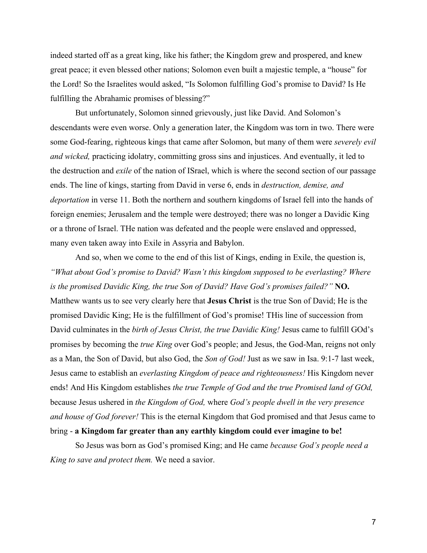indeed started off as a great king, like his father; the Kingdom grew and prospered, and knew great peace; it even blessed other nations; Solomon even built a majestic temple, a "house" for the Lord! So the Israelites would asked, "Is Solomon fulfilling God's promise to David? Is He fulfilling the Abrahamic promises of blessing?"

But unfortunately, Solomon sinned grievously, just like David. And Solomon's descendants were even worse. Only a generation later, the Kingdom was torn in two. There were some God-fearing, righteous kings that came after Solomon, but many of them were *severely evil and wicked,* practicing idolatry, committing gross sins and injustices. And eventually, it led to the destruction and *exile* of the nation of ISrael, which is where the second section of our passage ends. The line of kings, starting from David in verse 6, ends in *destruction, demise, and deportation* in verse 11. Both the northern and southern kingdoms of Israel fell into the hands of foreign enemies; Jerusalem and the temple were destroyed; there was no longer a Davidic King or a throne of Israel. THe nation was defeated and the people were enslaved and oppressed, many even taken away into Exile in Assyria and Babylon.

And so, when we come to the end of this list of Kings, ending in Exile, the question is, *"What about God's promise to David? Wasn't this kingdom supposed to be everlasting? Where is the promised Davidic King, the true Son of David? Have God's promises failed?"* **NO.** Matthew wants us to see very clearly here that **Jesus Christ** is the true Son of David; He is the promised Davidic King; He is the fulfillment of God's promise! THis line of succession from David culminates in the *birth of Jesus Christ, the true Davidic King!* Jesus came to fulfill GOd's promises by becoming the *true King* over God's people; and Jesus, the God-Man, reigns not only as a Man, the Son of David, but also God, the *Son of God!* Just as we saw in Isa. 9:1-7 last week, Jesus came to establish an *everlasting Kingdom of peace and righteousness!* His Kingdom never ends! And His Kingdom establishes *the true Temple of God and the true Promised land of GOd,* because Jesus ushered in *the Kingdom of God,* where *God's people dwell in the very presence and house of God forever!* This is the eternal Kingdom that God promised and that Jesus came to bring - **a Kingdom far greater than any earthly kingdom could ever imagine to be!**

So Jesus was born as God's promised King; and He came *because God's people need a King to save and protect them.* We need a savior.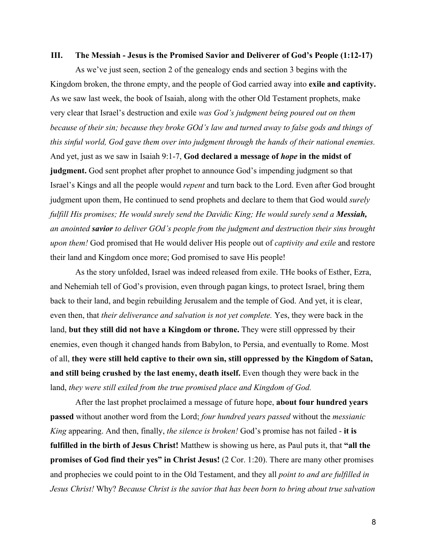### **III. The Messiah - Jesus is the Promised Savior and Deliverer of God's People (1:12-17)**

As we've just seen, section 2 of the genealogy ends and section 3 begins with the Kingdom broken, the throne empty, and the people of God carried away into **exile and captivity.** As we saw last week, the book of Isaiah, along with the other Old Testament prophets, make very clear that Israel's destruction and exile *was God's judgment being poured out on them because of their sin; because they broke GOd's law and turned away to false gods and things of this sinful world, God gave them over into judgment through the hands of their national enemies.* And yet, just as we saw in Isaiah 9:1-7, **God declared a message of** *hope* **in the midst of judgment.** God sent prophet after prophet to announce God's impending judgment so that Israel's Kings and all the people would *repent* and turn back to the Lord. Even after God brought judgment upon them, He continued to send prophets and declare to them that God would *surely fulfill His promises; He would surely send the Davidic King; He would surely send a Messiah, an anointed savior to deliver GOd's people from the judgment and destruction their sins brought upon them!* God promised that He would deliver His people out of *captivity and exile* and restore their land and Kingdom once more; God promised to save His people!

As the story unfolded, Israel was indeed released from exile. THe books of Esther, Ezra, and Nehemiah tell of God's provision, even through pagan kings, to protect Israel, bring them back to their land, and begin rebuilding Jerusalem and the temple of God. And yet, it is clear, even then, that *their deliverance and salvation is not yet complete.* Yes, they were back in the land, **but they still did not have a Kingdom or throne.** They were still oppressed by their enemies, even though it changed hands from Babylon, to Persia, and eventually to Rome. Most of all, **they were still held captive to their own sin, still oppressed by the Kingdom of Satan, and still being crushed by the last enemy, death itself.** Even though they were back in the land, *they were still exiled from the true promised place and Kingdom of God.*

After the last prophet proclaimed a message of future hope, **about four hundred years passed** without another word from the Lord; *four hundred years passed* without the *messianic King* appearing. And then, finally, *the silence is broken!* God's promise has not failed - **it is fulfilled in the birth of Jesus Christ!** Matthew is showing us here, as Paul puts it, that **"all the promises of God find their yes" in Christ Jesus!** (2 Cor. 1:20). There are many other promises and prophecies we could point to in the Old Testament, and they all *point to and are fulfilled in Jesus Christ!* Why? *Because Christ is the savior that has been born to bring about true salvation*